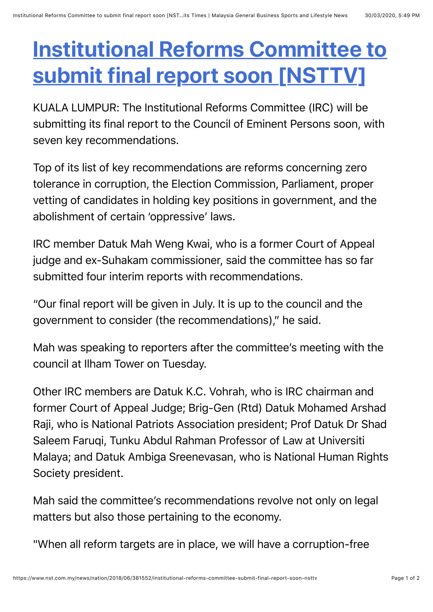## **[Institutional Reforms Committee to](https://web.whatsapp.com/send?text=Institutional%20Reforms%20Committee%20to%20submit%20final%20report%20soon%20%5BNSTTV%5D%20https://www.nst.com.my/news/nation/2018/06/381552/institutional-reforms-committee-submit-final-report-soon-nsttv) submit final report soon [NSTTV]**

KUALA LUMPUR: The Institutional Reforms Committee (IRC) will be submitting its final report to the Council of Eminent Persons soon, with seven key recommendations.

Top of its list of key recommendations are reforms concerning zero tolerance in corruption, the Election Commission, Parliament, proper vetting of candidates in holding key positions in government, and the abolishment of certain 'oppressive' laws.

IRC member Datuk Mah Weng Kwai, who is a former Court of Appeal judge and ex-Suhakam commissioner, said the committee has so far submitted four interim reports with recommendations.

"Our final report will be given in July. It is up to the council and the government to consider (the recommendations)," he said.

Mah was speaking to reporters after the committee's meeting with the council at Ilham Tower on Tuesday.

Other IRC members are Datuk K.C. Vohrah, who is IRC chairman and former Court of Appeal Judge; Brig-Gen (Rtd) Datuk Mohamed Arshad Raji, who is National Patriots Association president; Prof Datuk Dr Shad Saleem Faruqi, Tunku Abdul Rahman Professor of Law at Universiti Malaya; and Datuk Ambiga Sreenevasan, who is National Human Rights Society president.

Mah said the committee's recommendations revolve not only on legal matters but also those pertaining to the economy.

"When all reform targets are in place, we will have a corruption-free